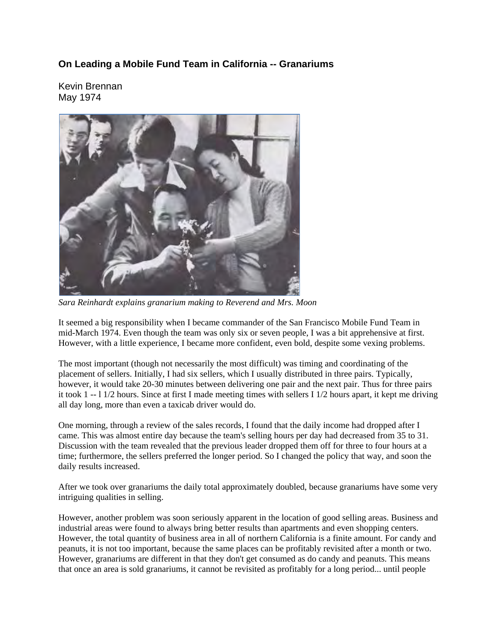## **On Leading a Mobile Fund Team in California -- Granariums**

Kevin Brennan May 1974



*Sara Reinhardt explains granarium making to Reverend and Mrs. Moon*

It seemed a big responsibility when I became commander of the San Francisco Mobile Fund Team in mid-March 1974. Even though the team was only six or seven people, I was a bit apprehensive at first. However, with a little experience, I became more confident, even bold, despite some vexing problems.

The most important (though not necessarily the most difficult) was timing and coordinating of the placement of sellers. Initially, I had six sellers, which I usually distributed in three pairs. Typically, however, it would take 20-30 minutes between delivering one pair and the next pair. Thus for three pairs it took 1 -- l 1/2 hours. Since at first I made meeting times with sellers I 1/2 hours apart, it kept me driving all day long, more than even a taxicab driver would do.

One morning, through a review of the sales records, I found that the daily income had dropped after I came. This was almost entire day because the team's selling hours per day had decreased from 35 to 31. Discussion with the team revealed that the previous leader dropped them off for three to four hours at a time; furthermore, the sellers preferred the longer period. So I changed the policy that way, and soon the daily results increased.

After we took over granariums the daily total approximately doubled, because granariums have some very intriguing qualities in selling.

However, another problem was soon seriously apparent in the location of good selling areas. Business and industrial areas were found to always bring better results than apartments and even shopping centers. However, the total quantity of business area in all of northern California is a finite amount. For candy and peanuts, it is not too important, because the same places can be profitably revisited after a month or two. However, granariums are different in that they don't get consumed as do candy and peanuts. This means that once an area is sold granariums, it cannot be revisited as profitably for a long period... until people